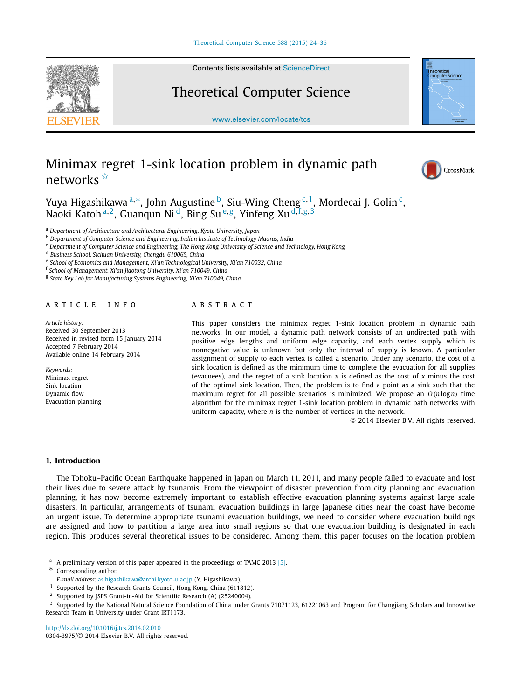

Contents lists available at [ScienceDirect](http://www.ScienceDirect.com/)

## Theoretical Computer Science

[www.elsevier.com/locate/tcs](http://www.elsevier.com/locate/tcs)

# "<br>Science

# Minimax regret 1-sink location problem in dynamic path networks ✩



Yuya Higashikawa <sup>a,</sup>\*, John Augustine <sup>b</sup>, Siu-Wing Cheng <sup>c, 1</sup>, Mordecai J. Golin <sup>c</sup>, Naoki Katoh <sup>a</sup>*,*2, Guanqun Ni d, Bing Su <sup>e</sup>*,*g, Yinfeng Xu <sup>d</sup>*,*f*,*g*,*<sup>3</sup>

<sup>a</sup> *Department of Architecture and Architectural Engineering, Kyoto University, Japan*

<sup>b</sup> *Department of Computer Science and Engineering, Indian Institute of Technology Madras, India*

<sup>c</sup> *Department of Computer Science and Engineering, The Hong Kong University of Science and Technology, Hong Kong*

<sup>d</sup> *Business School, Sichuan University, Chengdu 610065, China*

<sup>e</sup> *School of Economics and Management, Xi'an Technological University, Xi'an 710032, China*

<sup>f</sup> *School of Management, Xi'an Jiaotong University, Xi'an 710049, China*

<sup>g</sup> *State Key Lab for Manufacturing Systems Engineering, Xi'an 710049, China*

#### article info abstract

*Article history:* Received 30 September 2013 Received in revised form 15 January 2014 Accepted 7 February 2014 Available online 14 February 2014

*Keywords:* Minimax regret Sink location Dynamic flow Evacuation planning

This paper considers the minimax regret 1-sink location problem in dynamic path networks. In our model, a dynamic path network consists of an undirected path with positive edge lengths and uniform edge capacity, and each vertex supply which is nonnegative value is unknown but only the interval of supply is known. A particular assignment of supply to each vertex is called a scenario. Under any scenario, the cost of a sink location is defined as the minimum time to complete the evacuation for all supplies (evacuees), and the regret of a sink location *x* is defined as the cost of *x* minus the cost of the optimal sink location. Then, the problem is to find a point as a sink such that the maximum regret for all possible scenarios is minimized. We propose an  $O(n \log n)$  time algorithm for the minimax regret 1-sink location problem in dynamic path networks with uniform capacity, where *n* is the number of vertices in the network.

© 2014 Elsevier B.V. All rights reserved.

#### **1. Introduction**

The Tohoku–Pacific Ocean Earthquake happened in Japan on March 11, 2011, and many people failed to evacuate and lost their lives due to severe attack by tsunamis. From the viewpoint of disaster prevention from city planning and evacuation planning, it has now become extremely important to establish effective evacuation planning systems against large scale disasters. In particular, arrangements of tsunami evacuation buildings in large Japanese cities near the coast have become an urgent issue. To determine appropriate tsunami evacuation buildings, we need to consider where evacuation buildings are assigned and how to partition a large area into small regions so that one evacuation building is designated in each region. This produces several theoretical issues to be considered. Among them, this paper focuses on the location problem

A preliminary version of this paper appeared in the proceedings of TAMC 2013 [\[5\].](#page-12-0) Corresponding author.

<http://dx.doi.org/10.1016/j.tcs.2014.02.010> 0304-3975/© 2014 Elsevier B.V. All rights reserved.

*E-mail address:* [as.higashikawa@archi.kyoto-u.ac.jp](mailto:as.higashikawa@archi.kyoto-u.ac.jp) (Y. Higashikawa).

Supported by the Research Grants Council, Hong Kong, China (611812).

<sup>&</sup>lt;sup>2</sup> Supported by JSPS Grant-in-Aid for Scientific Research (A) (25240004).<br><sup>3</sup> Supported by the National Natural Science Foundation of China under (

<sup>3</sup> Supported by the National Natural Science Foundation of China under Grants 71071123, 61221063 and Program for Changjiang Scholars and Innovative Research Team in University under Grant IRT1173.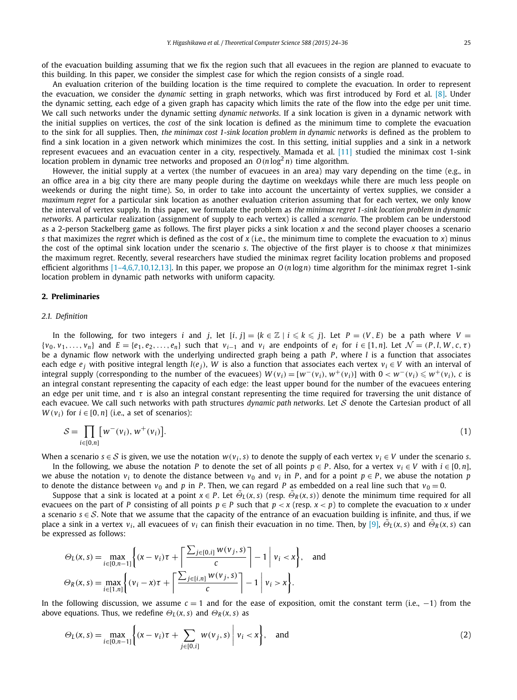<span id="page-1-0"></span>of the evacuation building assuming that we fix the region such that all evacuees in the region are planned to evacuate to this building. In this paper, we consider the simplest case for which the region consists of a single road.

An evaluation criterion of the building location is the time required to complete the evacuation. In order to represent the evacuation, we consider the *dynamic* setting in graph networks, which was first introduced by Ford et al. [\[8\].](#page-12-0) Under the dynamic setting, each edge of a given graph has capacity which limits the rate of the flow into the edge per unit time. We call such networks under the dynamic setting *dynamic networks*. If a sink location is given in a dynamic network with the initial supplies on vertices, the *cost* of the sink location is defined as the minimum time to complete the evacuation to the sink for all supplies. Then, *the minimax cost 1-sink location problem in dynamic networks* is defined as the problem to find a sink location in a given network which minimizes the cost. In this setting, initial supplies and a sink in a network represent evacuees and an evacuation center in a city, respectively. Mamada et al. [\[11\]](#page-12-0) studied the minimax cost 1-sink location problem in dynamic tree networks and proposed an  $O(n \log^2 n)$  time algorithm.

However, the initial supply at a vertex (the number of evacuees in an area) may vary depending on the time (e.g., in an office area in a big city there are many people during the daytime on weekdays while there are much less people on weekends or during the night time). So, in order to take into account the uncertainty of vertex supplies, we consider a *maximum regret* for a particular sink location as another evaluation criterion assuming that for each vertex, we only know the interval of vertex supply. In this paper, we formulate the problem as *the minimax regret 1-sink location problem in dynamic networks*. A particular realization (assignment of supply to each vertex) is called a *scenario*. The problem can be understood as a 2-person Stackelberg game as follows. The first player picks a sink location *x* and the second player chooses a scenario *s* that maximizes the *regret* which is defined as the cost of *x* (i.e., the minimum time to complete the evacuation to *x*) minus the cost of the optimal sink location under the scenario *s*. The objective of the first player is to choose *x* that minimizes the maximum regret. Recently, several researchers have studied the minimax regret facility location problems and proposed efficient algorithms  $[1-4,6,7,10,12,13]$ . In this paper, we propose an  $O(n \log n)$  time algorithm for the minimax regret 1-sink location problem in dynamic path networks with uniform capacity.

#### **2. Preliminaries**

#### *2.1. Definition*

In the following, for two integers i and j, let  $[i, j] = \{k \in \mathbb{Z} \mid i \leq k \leq j\}$ . Let  $P = (V, E)$  be a path where  $V =$  $\{v_0, v_1, \ldots, v_n\}$  and  $E = \{e_1, e_2, \ldots, e_n\}$  such that  $v_{i-1}$  and  $v_i$  are endpoints of  $e_i$  for  $i \in [1, n]$ . Let  $\mathcal{N} = (P, I, W, c, \tau)$ be a dynamic flow network with the underlying undirected graph being a path *P*, where *l* is a function that associates each edge  $e_i$  with positive integral length *l*( $e_i$ ), *W* is also a function that associates each vertex  $v_i \in V$  with an interval of integral supply (corresponding to the number of the evacuees)  $W(v_i) = [w^-(v_i), w^+(v_i)]$  with  $0 < w^-(v_i) \leq w^+(v_i)$ , c is an integral constant representing the capacity of each edge: the least upper bound for the number of the evacuees entering an edge per unit time, and *τ* is also an integral constant representing the time required for traversing the unit distance of each evacuee. We call such networks with path structures *dynamic path networks*. Let S denote the Cartesian product of all *W*( $v_i$ ) for  $i \in [0, n]$  (i.e., a set of scenarios):

$$
S = \prod_{i \in [0,n]} [w^-(v_i), w^+(v_i)].
$$
\n(1)

When a scenario  $s \in S$  is given, we use the notation  $w(v_i, s)$  to denote the supply of each vertex  $v_i \in V$  under the scenario *s*.

In the following, we abuse the notation *P* to denote the set of all points  $p \in P$ . Also, for a vertex  $v_i \in V$  with  $i \in [0, n]$ , we abuse the notation  $v_i$  to denote the distance between  $v_0$  and  $v_i$  in *P*, and for a point  $p \in P$ , we abuse the notation *p* to denote the distance between  $v_0$  and p in P. Then, we can regard P as embedded on a real line such that  $v_0 = 0$ .

Suppose that a sink is located at a point  $x \in P$ . Let  $\Theta_L(x, s)$  (resp.  $\Theta_R(x, s)$ ) denote the minimum time required for all evacuees on the part of *P* consisting of all points  $p \in P$  such that  $p \lt x$  (resp.  $x \lt p$ ) to complete the evacuation to *x* under a scenario  $s \in S$ . Note that we assume that the capacity of the entrance of an evacuation building is infinite, and thus, if we place a sink in a vertex  $v_i$ , all evacuees of  $v_i$  can finish their evacuation in no time. Then, by [\[9\],](#page-12-0)  $\tilde{\Theta}_L(x, s)$  and  $\tilde{\Theta}_R(x, s)$  can be expressed as follows:

$$
\Theta_L(x,s) = \max_{i \in [0,n-1]} \left\{ (x-v_i)\tau + \left\lceil \frac{\sum_{j \in [0,i]} w(v_j,s)}{c} \right\rceil - 1 \middle| v_i < x \right\}, \text{ and}
$$
\n
$$
\Theta_R(x,s) = \max_{i \in [1,n]} \left\{ (v_i - x)\tau + \left\lceil \frac{\sum_{j \in [i,n]} w(v_j,s)}{c} \right\rceil - 1 \middle| v_i > x \right\}.
$$

In the following discussion, we assume *c* = 1 and for the ease of exposition, omit the constant term (i.e., −1) from the above equations. Thus, we redefine  $\Theta_L(x, s)$  and  $\Theta_R(x, s)$  as

$$
\Theta_L(x, s) = \max_{i \in [0, n-1]} \left\{ (x - v_i)\tau + \sum_{j \in [0, i]} w(v_j, s) \middle| v_i < x \right\}, \text{ and } (2)
$$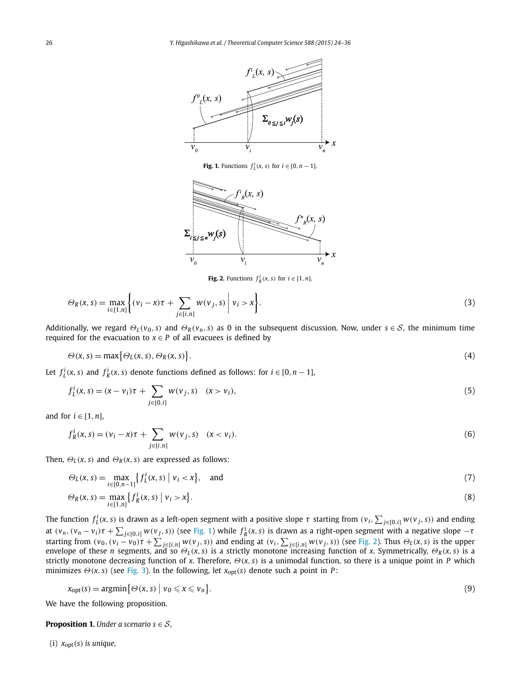<span id="page-2-0"></span>

**Fig. 1.** Functions  $f_L^i(x, s)$  for  $i \in [0, n - 1]$ .



**Fig. 2.** Functions  $f_R^i(x, s)$  for  $i \in [1, n]$ .

$$
\Theta_R(x,s) = \max_{i \in [1,n]} \left\{ (v_i - x)\tau + \sum_{j \in [i,n]} w(v_j, s) \middle| v_i > x \right\}.
$$
\n(3)

Additionally, we regard  $\Theta_L(v_0, s)$  and  $\Theta_R(v_n, s)$  as 0 in the subsequent discussion. Now, under  $s \in S$ , the minimum time required for the evacuation to  $x \in P$  of all evacuees is defined by

$$
\Theta(x,s) = \max\{\Theta_L(x,s), \Theta_R(x,s)\}.
$$
\n(4)

Let  $f_L^i(x, s)$  and  $f_R^i(x, s)$  denote functions defined as follows: for  $i \in [0, n - 1]$ ,

$$
f_L^i(x, s) = (x - v_i)\tau + \sum_{j \in [0, i]} w(v_j, s) \quad (x > v_i),
$$
\n(5)

and for  $i \in [1, n]$ ,

$$
f_R^i(x, s) = (v_i - x)\tau + \sum_{j \in [i, n]} w(v_j, s) \quad (x < v_i). \tag{6}
$$

Then,  $\Theta_L(x, s)$  and  $\Theta_R(x, s)$  are expressed as follows:

$$
\Theta_L(x,s) = \max_{i \in [0,n-1]} \left\{ f_L^i(x,s) \middle| v_i < x \right\}, \quad \text{and} \tag{7}
$$

$$
\Theta_R(x,s) = \max_{i \in [1,n]} \{ f_R^i(x,s) \mid v_i > x \}. \tag{8}
$$

The function  $f_L^i(x,s)$  is drawn as a left-open segment with a positive slope  $\tau$  starting from  $(v_i,\sum_{j\in[0,i]}w(v_j,s))$  and ending at  $(v_n, (v_n - v_i)\tau + \sum_{j\in [0,i]} w(v_j, s))$  (see Fig. 1) while  $f_R^i(x, s)$  is drawn as a right-open segment with a negative slope  $-\tau$ starting from  $(v_0, (v_i - v_0)\tau + \sum_{j \in [i,n]} w(v_j, s))$  and ending at  $(v_i, \sum_{j \in [i,n]} w(v_j, s))$  (see Fig. 2). Thus  $\Theta_L(x, s)$  is the upper envelope of these n segments, and so  $\Theta_L(x, s)$  is a strictly monotone increasing function of x. Symmetrically,  $\Theta_R(x, s)$  is a strictly monotone decreasing function of *x*. Therefore, *Θ(x, s)* is a unimodal function, so there is a unique point in *P* which minimizes  $\Theta(x, s)$  (see [Fig. 3\)](#page-3-0). In the following, let  $x_{opt}(s)$  denote such a point in *P*:

$$
x_{\text{opt}}(s) = \operatorname{argmin} \{ \Theta(x, s) \mid v_0 \leq x \leq v_n \}. \tag{9}
$$

We have the following proposition.

**Proposition 1.** *Under a scenario s*  $\in$  *S*,

(i)  $x_{\text{opt}}(s)$  *is unique,*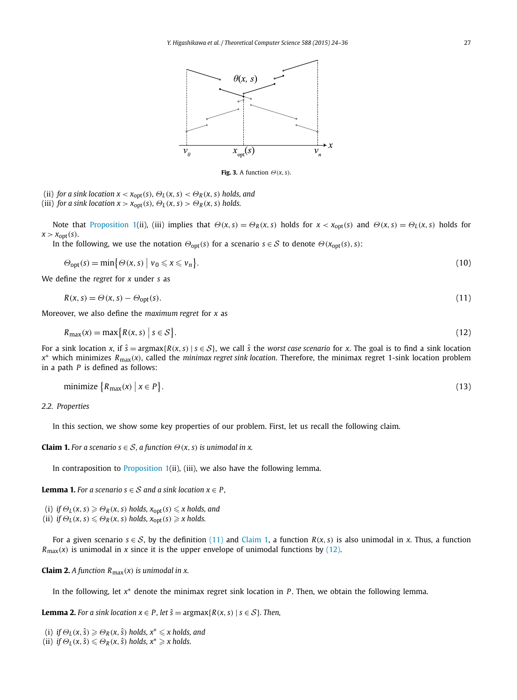<span id="page-3-0"></span>

**Fig. 3.** A function  $\Theta(x, s)$ .

(ii) *for a sink location*  $x < x_{\text{opt}}(s)$ *,*  $\Theta_L(x, s) < \Theta_R(x, s)$  *<i>holds, and* 

(iii) *for a sink location*  $x > x_{opt}(s)$ *,*  $\Theta_L(x, s) > \Theta_R(x, s)$  *<i>holds.* 

Note that [Proposition 1\(](#page-2-0)ii), (iii) implies that  $\Theta(x, s) = \Theta_R(x, s)$  holds for  $x < x_{opt}(s)$  and  $\Theta(x, s) = \Theta_L(x, s)$  holds for  $x > x_{opt}(s)$ .

In the following, we use the notation  $\Theta_{opt}(s)$  for a scenario  $s \in S$  to denote  $\Theta(x_{opt}(s), s)$ :

$$
\Theta_{\text{opt}}(s) = \min \bigl\{ \Theta(x, s) \mid v_0 \leq x \leq v_n \bigr\}. \tag{10}
$$

We define the *regret* for *x* under *s* as

$$
R(x, s) = \Theta(x, s) - \Theta_{\text{opt}}(s). \tag{11}
$$

Moreover, we also define the *maximum regret* for *x* as

$$
R_{\max}(x) = \max\{R(x,s) \mid s \in S\}.\tag{12}
$$

For a sink location *x*, if  $\hat{s}$  = argmax{*R*(*x*, *s*) |  $s \in S$ }, we call  $\hat{s}$  the *worst case scenario* for *x*. The goal is to find a sink location *<sup>x</sup>*<sup>∗</sup> which minimizes *<sup>R</sup>*max*(x)*, called the *minimax regret sink location*. Therefore, the minimax regret 1-sink location problem in a path *P* is defined as follows:

minimize 
$$
\{R_{\text{max}}(x) \mid x \in P\}
$$
. (13)

*2.2. Properties*

In this section, we show some key properties of our problem. First, let us recall the following claim.

**Claim 1.** *For a scenario*  $s \in S$ *, a function*  $\Theta(x, s)$  *is unimodal in x.* 

In contraposition to [Proposition 1\(](#page-2-0)ii), (iii), we also have the following lemma.

**Lemma 1.** *For a scenario*  $s \in S$  *and a sink location*  $x \in P$ *,* 

 $\mathcal{O}_L(\mathbf{X}, \mathbf{S}) \geq \mathcal{O}_R(\mathbf{X}, \mathbf{S})$  holds,  $x_{\text{opt}}(\mathbf{S}) \leq \mathbf{x}$  holds, and

 $(iii)$  *if*  $\Theta_L(x, s) \leq \Theta_R(x, s)$  holds,  $x_{opt}(s) \geq x$  holds.

For a given scenario  $s \in S$ , by the definition (11) and Claim 1, a function  $R(x, s)$  is also unimodal in x. Thus, a function  $R_{\text{max}}(x)$  is unimodal in *x* since it is the upper envelope of unimodal functions by (12).

**Claim 2.** *A function*  $R_{\text{max}}(x)$  *is unimodal in x.* 

In the following, let *x*<sup>∗</sup> denote the minimax regret sink location in *P* . Then, we obtain the following lemma.

**Lemma 2.** For a sink location  $x \in P$ , let  $\hat{s} = \argmax\{R(x, s) \mid s \in S\}$ . Then,

 $(i)$  *if*  $\Theta_L(x, \hat{s}) \ge \Theta_R(x, \hat{s})$  holds,  $x^* \le x$  holds, and

 $(iii)$  *if*  $\Theta_L(x, \hat{s}) \leq \Theta_R(x, \hat{s})$  holds,  $x^* \geq x$  holds.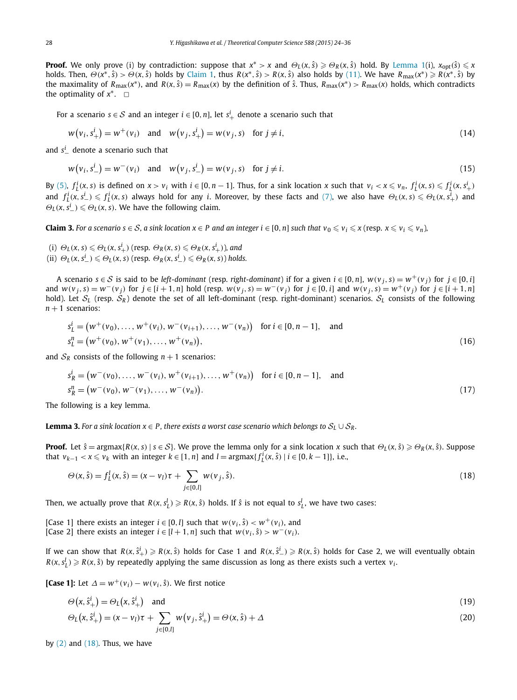<span id="page-4-0"></span>**Proof.** We only prove (i) by contradiction: suppose that  $x^* > x$  and  $\Theta_L(x, \hat{s}) \ge \Theta_R(x, \hat{s})$  hold. By [Lemma 1\(](#page-3-0)i),  $x_{opt}(\hat{s}) \le x$ holds. Then,  $\Theta(x^*,\hat{s}) > \Theta(x,\hat{s})$  holds by [Claim 1,](#page-3-0) thus  $R(x^*,\hat{s}) > R(x,\hat{s})$  also holds by [\(11\).](#page-3-0) We have  $R_{\text{max}}(x^*) \ge R(x^*,\hat{s})$  by the maximality of  $R_{\text{max}}(x^*)$ , and  $R(x, \hat{s}) = R_{\text{max}}(x)$  by the definition of  $\hat{s}$ . Thus,  $R_{\text{max}}(x^*) > R_{\text{max}}(x)$  holds, which contradicts the optimality of  $x^*$ .  $\Box$ 

For a scenario  $s \in S$  and an integer  $i \in [0,n]$ , let  $s^i_+$  denote a scenario such that

$$
w(v_i, s^i_+) = w^+(v_i) \quad \text{and} \quad w(v_j, s^i_+) = w(v_j, s) \quad \text{for } j \neq i,
$$
\n
$$
(14)
$$

and *s<sup>i</sup>* denote a scenario such that

$$
w(v_i, s^i_{-}) = w^-(v_i)
$$
 and  $w(v_j, s^i_{-}) = w(v_j, s)$  for  $j \neq i$ . (15)

By [\(5\),](#page-2-0)  $f_L^i(x, s)$  is defined on  $x > v_i$  with  $i \in [0, n-1]$ . Thus, for a sink location x such that  $v_i < x \le v_n$ ,  $f_L^i(x, s) \le f_L^i(x, s_+^i)$ and  $f_L^i(x, s_-^i) \leq f_L^i(x, s)$  always hold for any *i*. Moreover, by these facts and [\(7\),](#page-2-0) we also have  $\Theta_L(x, s) \leq \Theta_L(x, s_+^i)$  and  $\Theta_L(x, s^i_-) \leq \Theta_L(x, s)$ . We have the following claim.

**Claim 3.** For a scenario  $s \in S$ , a sink location  $x \in P$  and an integer  $i \in [0, n]$  such that  $v_0 \le v_i \le x$  (resp.  $x \le v_i \le v_n$ ),

- (i)  $\Theta_L(x, s) \leq \Theta_L(x, s^i_+)$  (resp.  $\Theta_R(x, s) \leq \Theta_R(x, s^i_+)$ ), and
- (ii)  $\Theta_L(x, s^i_{-}) \leq \Theta_L(x, s)$  (resp.  $\Theta_R(x, s^i_{-}) \leq \Theta_R(x, s)$ ) holds.

A scenario  $s \in S$  is said to be left-dominant (resp. right-dominant) if for a given  $i \in [0, n]$ ,  $w(v_i, s) = w^+(v_i)$  for  $j \in [0, i]$ and  $w(v_j, s) = w^-(v_j)$  for  $j \in [i+1, n]$  hold (resp.  $w(v_j, s) = w^-(v_j)$  for  $j \in [0, i]$  and  $w(v_j, s) = w^+(v_j)$  for  $j \in [i+1, n]$ hold). Let  $S_L$  (resp.  $S_R$ ) denote the set of all left-dominant (resp. right-dominant) scenarios.  $S_L$  consists of the following  $n + 1$  scenarios:

$$
s_L^i = (w^+(v_0), \dots, w^+(v_i), w^-(v_{i+1}), \dots, w^-(v_n)) \text{ for } i \in [0, n-1], \text{ and}
$$
  
\n
$$
s_L^n = (w^+(v_0), w^+(v_1), \dots, w^+(v_n)),
$$
\n(16)

and  $S_R$  consists of the following  $n + 1$  scenarios:

$$
s_R^i = (w^-(v_0), \dots, w^-(v_i), w^+(v_{i+1}), \dots, w^+(v_n)) \text{ for } i \in [0, n-1], \text{ and}
$$
  
\n
$$
s_R^n = (w^-(v_0), w^-(v_1), \dots, w^-(v_n)).
$$
\n(17)

The following is a key lemma.

**Lemma 3.** For a sink location  $x \in P$ , there exists a worst case scenario which belongs to  $S_L \cup S_R$ .

**Proof.** Let  $\hat{s}$  = argmax{ $R(x, s)$  |  $s \in S$ }. We prove the lemma only for a sink location x such that  $\Theta_L(x, \hat{s}) \ge \Theta_R(x, \hat{s})$ . Suppose that  $v_{k-1} < x \le v_k$  with an integer  $k \in [1, n]$  and  $l = \text{argmax}{f_L^i(x, \hat{s}) | i \in [0, k-1]}$ , i.e.,

$$
\Theta(x,\hat{s}) = f_L^1(x,\hat{s}) = (x - v_l)\tau + \sum_{j \in [0,l]} w(v_j,\hat{s}).
$$
\n(18)

Then, we actually prove that  $R(x, s^l_L) \geqslant R(x, \hat{s})$  holds. If  $\hat{s}$  is not equal to  $s^l_L$ , we have two cases:

[Case 1] there exists an integer  $i \in [0, l]$  such that  $w(v_i, \hat{s}) < w^+(v_i)$ , and [Case 2] there exists an integer  $i \in [l + 1, n]$  such that  $w(v_i, \hat{s}) > w^-(v_i)$ .

If we can show that  $R(x,\hat{S}^i_+)\geqslant R(x,\hat{s})$  holds for Case 1 and  $R(x,\hat{S}^i_-)\geqslant R(x,\hat{s})$  holds for Case 2, we will eventually obtain  $R(x, s_L^l) \geqslant R(x, \hat{s})$  by repeatedly applying the same discussion as long as there exists such a vertex  $v_i$ .

**[Case 1]:** Let  $\Delta = w^+(v_i) - w(v_i, \hat{s})$ . We first notice

$$
\Theta(x, \hat{s}^i_+) = \Theta_L(x, \hat{s}^i_+) \quad \text{and} \tag{19}
$$

$$
\Theta_L(x, \hat{s}^i_+) = (x - v_i)\tau + \sum_{j \in [0, l]} w(v_j, \hat{s}^i_+) = \Theta(x, \hat{s}) + \Delta
$$
\n(20)

by  $(2)$  and  $(18)$ . Thus, we have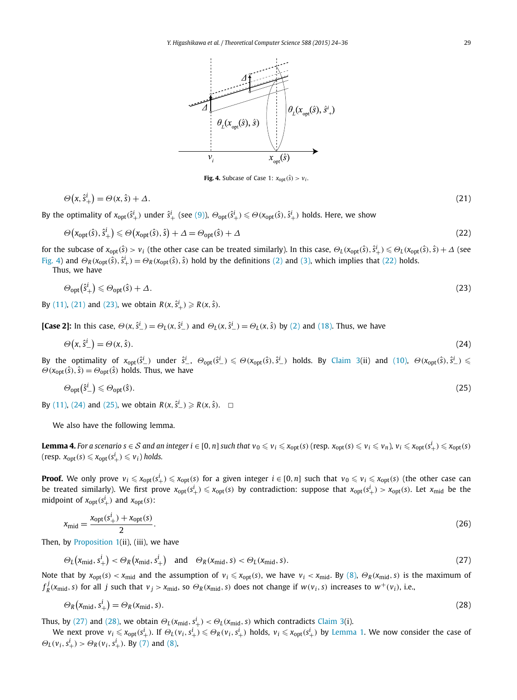<span id="page-5-0"></span>

**Fig. 4.** Subcase of Case 1:  $x_{opt}(\hat{s}) > v_i$ .

$$
\Theta(x,\hat{\mathbf{s}}_{+}^{i}) = \Theta(x,\hat{\mathbf{s}}) + \Delta. \tag{21}
$$

By the optimality of  $x_{opt}(\hat{s}^i_+)$  under  $\hat{s}^i_+$  (see [\(9\)\)](#page-2-0),  $\Theta_{opt}(\hat{s}^i_+) \leq \Theta(x_{opt}(\hat{s}), \hat{s}^i_+)$  holds. Here, we show

$$
\Theta\left(x_{\text{opt}}(\hat{s}), \hat{s}^i_{+}\right) \leq \Theta\left(x_{\text{opt}}(\hat{s}), \hat{s}\right) + \Delta = \Theta_{\text{opt}}(\hat{s}) + \Delta\tag{22}
$$

for the subcase of  $x_{\text{opt}}(\hat{s}) > v_i$  (the other case can be treated similarly). In this case,  $\Theta_L(x_{\text{opt}}(\hat{s}), \hat{s}^i_+) \leq \Theta_L(x_{\text{opt}}(\hat{s}), \hat{s}) + \Delta$  (see Fig. 4) and  $\Theta_R(x_{opt}(\hat{s}), \hat{s}^i_{+}) = \Theta_R(x_{opt}(\hat{s}), \hat{s})$  hold by the definitions [\(2\)](#page-1-0) and [\(3\),](#page-2-0) which implies that (22) holds.

Thus, we have

$$
\Theta_{\text{opt}}(\hat{\mathbf{S}}_{+}^{i}) \leq \Theta_{\text{opt}}(\hat{\mathbf{S}}) + \Delta. \tag{23}
$$

By [\(11\),](#page-3-0) (21) and (23), we obtain  $R(x, \hat{s}^i_+) \geq R(x, \hat{s})$ .

[Case 2]: In this case,  $\Theta(x, \hat{s}^i) = \Theta_L(x, \hat{s}^i)$  and  $\Theta_L(x, \hat{s}^i) = \Theta_L(x, \hat{s})$  by [\(2\)](#page-1-0) and [\(18\).](#page-4-0) Thus, we have

$$
\Theta(x, \hat{s}^i_-) = \Theta(x, \hat{s}).\tag{24}
$$

By the optimality of  $x_{\rm opt}(\hat{s}^i_-)$  under  $\hat{s}^i_-$ ,  $\Theta_{\rm opt}(\hat{s}^i_-)\leqslant\Theta(x_{\rm opt}(\hat{s}),\hat{s}^i_-)$  holds. By [Claim 3\(](#page-4-0)ii) and [\(10\),](#page-3-0)  $\Theta(x_{\rm opt}(\hat{s}),\hat{s}^i_-)\leqslant$  $\Theta$ ( $x_{opt}(\hat{s})$ ,  $\hat{s}$ ) =  $\Theta_{opt}(\hat{s})$  holds. Thus, we have

$$
\Theta_{\text{opt}}(\hat{S}_{-}^{i}) \leq \Theta_{\text{opt}}(\hat{s}).\tag{25}
$$

*By* [\(11\),](#page-3-0) (24) and (25), we obtain *R*(*x*,  $\hat{s}^i$ <sub>−</sub>) ≥ *R*(*x*,  $\hat{s}$ ).  $□$ 

We also have the following lemma.

**Lemma 4.** For a scenario  $s \in S$  and an integer  $i \in [0, n]$  such that  $v_0 \leq v_i \leq x_{\text{opt}}(s)$  (resp.  $x_{\text{opt}}(s) \leq v_i \leq v_n$ ),  $v_i \leq x_{\text{opt}}(s_i^i) \leq x_{\text{opt}}(s)$  $(\text{resp. } x_{\text{opt}}(s) \leqslant x_{\text{opt}}(s^i_+) \leqslant v_i)$  holds.

**Proof.** We only prove  $v_i \leqslant x_{\text{opt}}(s^i_+) \leqslant x_{\text{opt}}(s)$  for a given integer  $i \in [0,n]$  such that  $v_0 \leqslant v_i \leqslant x_{\text{opt}}(s)$  (the other case can be treated similarly). We first prove  $x_{\text{opt}}(s^i_+) \leqslant x_{\text{opt}}(s)$  by contradiction: suppose that  $x_{\text{opt}}(s^i_+) > x_{\text{opt}}(s)$ . Let  $x_{\text{mid}}$  be the midpoint of  $x_{opt}(s^i_+)$  and  $x_{opt}(s)$ :

$$
x_{\rm mid} = \frac{x_{\rm opt}(s_+^i) + x_{\rm opt}(s)}{2}.
$$
 (26)

Then, by Proposition  $1(ii)$ , (iii), we have

$$
\Theta_L(x_{\text{mid}}, s^i_+) < \Theta_R(x_{\text{mid}}, s^i_+) \quad \text{and} \quad \Theta_R(x_{\text{mid}}, s) < \Theta_L(x_{\text{mid}}, s). \tag{27}
$$

Note that by  $x_{\text{opt}}(s) < x_{\text{mid}}$  and the assumption of  $v_i \le x_{\text{opt}}(s)$ , we have  $v_i < x_{\text{mid}}$ . By [\(8\),](#page-2-0)  $\Theta_R(x_{\text{mid}}, s)$  is the maximum of  $f_R^j(x_{\text{mid}}, s)$  for all j such that  $v_j > x_{\text{mid}}$ , so  $\Theta_R(x_{\text{mid}}, s)$  does not change if  $w(v_i, s)$  increases to  $w^+(v_i)$ , i.e.,

$$
\Theta_R\left(x_{\rm mid}, s^i_+\right) = \Theta_R(x_{\rm mid}, s). \tag{28}
$$

Thus, by (27) and (28), we obtain  $Θ<sub>L</sub>(x<sub>mid</sub>, s<sup>i</sup>) < Θ<sub>L</sub>(x<sub>mid</sub>, s)$  which contradicts [Claim 3\(](#page-4-0)i).

We next prove  $v_i\leqslant x_{\text{opt}}(s_+^i)$ . If  $\Theta_L(v_i,s_+^i)\leqslant\Theta_R(v_i,s_+^i)$  holds,  $v_i\leqslant x_{\text{opt}}(s_+^i)$  by [Lemma 1.](#page-3-0) We now consider the case of  $\Theta_L(\nu_i, s^i_+) > \Theta_R(\nu_i, s^i_+)$ . By [\(7\)](#page-2-0) and [\(8\),](#page-2-0)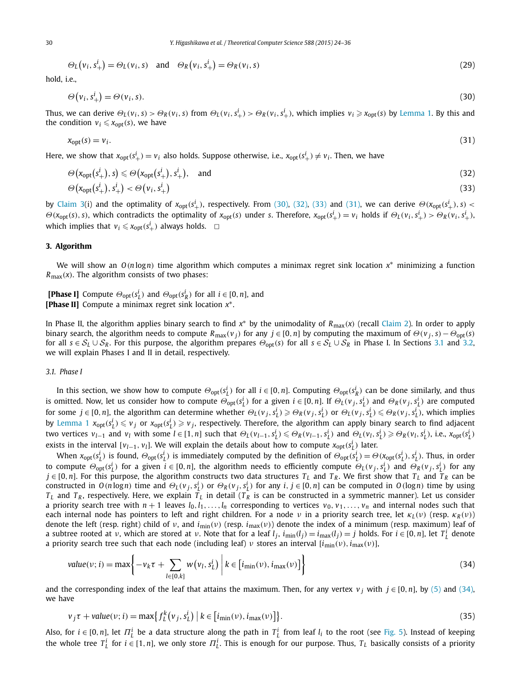<span id="page-6-0"></span>
$$
\Theta_L(v_i, s^i_+) = \Theta_L(v_i, s) \quad \text{and} \quad \Theta_R(v_i, s^i_+) = \Theta_R(v_i, s) \tag{29}
$$

hold, i.e.,

$$
\Theta(v_i, s^i_+) = \Theta(v_i, s). \tag{30}
$$

Thus, we can derive  $\Theta_L(v_i,s) > \Theta_R(v_i,s)$  from  $\Theta_L(v_i,s_+^i) > \Theta_R(v_i,s_+^i)$ , which implies  $v_i \ge x_{opt}(s)$  by [Lemma 1.](#page-3-0) By this and the condition  $v_i \leq x_{\text{opt}}(s)$ , we have

$$
x_{\text{opt}}(s) = v_i. \tag{31}
$$

Here, we show that  $x_{\text{opt}}(s^i_+) = v_i$  also holds. Suppose otherwise, i.e.,  $x_{\text{opt}}(s^i_+) \neq v_i$ . Then, we have

$$
\Theta\big(\mathbf{x}_{\text{opt}}(s_+^i), s\big) \leqslant \Theta\big(\mathbf{x}_{\text{opt}}(s_+^i), s_+^i\big), \quad \text{and} \tag{32}
$$

$$
\Theta\big(\mathsf{x}_{\mathrm{opt}}(s_+^i), s_+^i\big) < \Theta\big(\mathsf{v}_i, s_+^i\big) \tag{33}
$$

by [Claim 3\(](#page-4-0)i) and the optimality of  $x_{opt}(s_+^i)$ , respectively. From (30), (32), (33) and (31), we can derive  $\Theta(x_{opt}(s_+^i), s)$  <  $\Theta(x_{opt}(s), s)$ , which contradicts the optimality of  $x_{opt}(s)$  under s. Therefore,  $x_{opt}(s_+^i) = v_i$  holds if  $\Theta_L(v_i, s_+^i) > \Theta_R(v_i, s_+^i)$ . which implies that  $v_i \le x_{\text{opt}}(s^i_+)$  always holds.  $\Box$ 

#### **3. Algorithm**

We will show an *O(n* log*n)* time algorithm which computes a minimax regret sink location *x*<sup>∗</sup> minimizing a function *R*max*(x)*. The algorithm consists of two phases:

**[Phase I]** Compute  $\Theta_{opt}(s_L^i)$  and  $\Theta_{opt}(s_R^i)$  for all  $i \in [0, n]$ , and **[Phase II]** Compute a minimax regret sink location *x*∗.

In Phase II, the algorithm applies binary search to find *<sup>x</sup>*<sup>∗</sup> by the unimodality of *<sup>R</sup>*max*(x)* (recall [Claim 2\)](#page-3-0). In order to apply binary search, the algorithm needs to compute  $R_{\text{max}}(v_i)$  for any  $j \in [0, n]$  by computing the maximum of  $\Theta(v_i, s) - \Theta_{\text{opt}}(s)$ for all  $s \in S_L \cup S_R$ . For this purpose, the algorithm prepares  $\Theta_{opt}(s)$  for all  $s \in S_L \cup S_R$  in Phase I. In Sections 3.1 and [3.2,](#page-10-0) we will explain Phases I and II in detail, respectively.

#### *3.1. Phase I*

In this section, we show how to compute  $\Theta_{opt}(s_L^i)$  for all  $i \in [0,n]$ . Computing  $\Theta_{opt}(s_R^i)$  can be done similarly, and thus is omitted. Now, let us consider how to compute  $\Theta_{opt}(s_L^i)$  for a given  $i \in [0,n]$ . If  $\Theta_L(v_j,s_L^i)$  and  $\Theta_R(v_j,s_L^i)$  are computed for some  $j \in [0,n]$ , the algorithm can determine whether  $\Theta_L(v_j,s_L^i) \geq \Theta_R(v_j,s_L^i)$  or  $\Theta_L(v_j,s_L^i) \leq \Theta_R(v_j,s_L^i)$ , which implies by [Lemma 1](#page-3-0)  $x_{\text{opt}}(s_L^i) \leq v_j$  or  $x_{\text{opt}}(s_L^i) \geq v_j$ , respectively. Therefore, the algorithm can apply binary search to find adjacent two vertices  $v_{l-1}$  and  $v_l$  with some  $l \in [1, n]$  such that  $\Theta_L(v_{l-1}, s_L^i) \leq \Theta_R(v_{l-1}, s_L^i)$  and  $\Theta_L(v_l, s_L^i) \geq \Theta_R(v_l, s_L^i)$ , i.e.,  $x_{opt}(s_L^i)$ exists in the interval  $[v_{l-1}, v_l]$ . We will explain the details about how to compute  $x_{\text{opt}}(s_L^i)$  later.

When  $x_{\text{opt}}(s_L^i)$  is found,  $\Theta_{\text{opt}}(s_L^i)$  is immediately computed by the definition of  $\Theta_{\text{opt}}(s_L^i) = \Theta(x_{\text{opt}}(s_L^i), s_L^i)$ . Thus, in order to compute  $\Theta_{\text{opt}}(s^i_L)$  for a given  $i \in [0,n]$ , the algorithm needs to efficiently compute  $\Theta_L(v_j,s^i_L)$  and  $\Theta_R(v_j,s^i_L)$  for any  $j \in [0, n]$ . For this purpose, the algorithm constructs two data structures  $T_L$  and  $T_R$ . We first show that  $T_L$  and  $T_R$  can be constructed in  $O(n \log n)$  time and  $\Theta_L(v_j, s_L^i)$  or  $\Theta_R(v_j, s_L^i)$  for any  $i, j \in [0, n]$  can be computed in  $O(\log n)$  time by using  $T_L$  and  $T_R$ , respectively. Here, we explain  $\bar{T}_L$  in detail  $(T_R$  is can be constructed in a symmetric manner). Let us consider a priority search tree with  $n + 1$  leaves  $l_0, l_1, \ldots, l_n$  corresponding to vertices  $v_0, v_1, \ldots, v_n$  and internal nodes such that each internal node has pointers to left and right children. For a node *ν* in a priority search tree, let *κ<sup>L</sup> (ν)* (resp. *κ<sup>R</sup> (ν)*) denote the left (resp. right) child of *ν*, and *i*min*(ν)* (resp. *i*max*(ν)*) denote the index of a minimum (resp. maximum) leaf of a subtree rooted at v, which are stored at v. Note that for a leaf  $l_j$ ,  $i_{\min}(l_j) = i_{\max}(l_j) = j$  holds. For  $i \in [0, n]$ , let  $T_L^i$  denote a priority search tree such that each node (including leaf) *ν* stores an interval [*i*min*(ν),i*max*(ν)*],

$$
value(v; i) = \max\left\{-v_k \tau + \sum_{l \in [0, k]} w(v_l, s_l^i) \middle| k \in [i_{\min}(v), i_{\max}(v)]\right\}
$$
(34)

and the corresponding index of the leaf that attains the maximum. Then, for any vertex  $v_j$  with  $j \in [0, n]$ , by [\(5\)](#page-2-0) and (34), we have

$$
\nu_j \tau + value(\nu; i) = \max\{f_L^k(\nu_j, s_L^i) \mid k \in [i_{\min}(\nu), i_{\max}(\nu)]\}.
$$
\n(35)

Also, for  $i \in [0,n]$ , let  $\Pi^i_L$  be a data structure along the path in  $T^i_L$  from leaf  $l_i$  to the root (see [Fig. 5\)](#page-7-0). Instead of keeping the whole tree  $T_L^i$  for  $i \in [1, n]$ , we only store  $T_L^i$ . This is enough for our purpose. Thus,  $T_L$  basically consists of a priority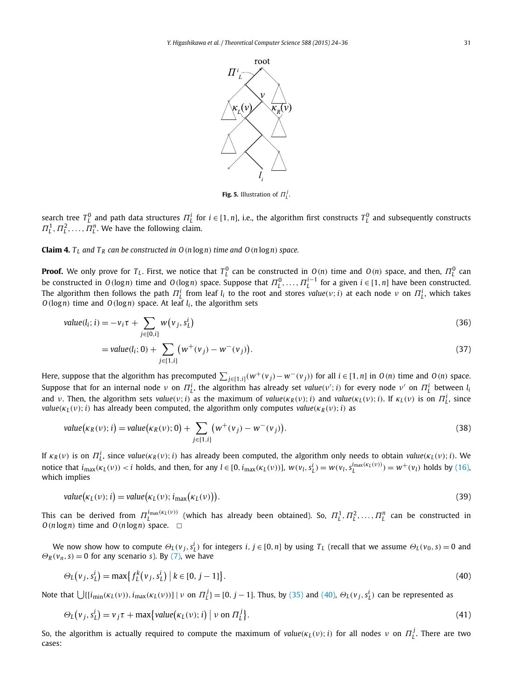

**Fig. 5.** Illustration of  $\Pi$ <sup>*j*</sup></sup>.

<span id="page-7-0"></span>search tree  $T_L^0$  and path data structures  $\Pi_L^i$  for  $i\in[1,n]$ , i.e., the algorithm first constructs  $T_L^0$  and subsequently constructs  $\Pi_L^1, \Pi_L^2, \ldots, \Pi_L^n$ . We have the following claim.

**Claim 4.**  $T_L$  and  $T_R$  can be constructed in  $O(n \log n)$  *time and*  $O(n \log n)$  *space.* 

**Proof.** We only prove for  $T_L$ . First, we notice that  $T_L^0$  can be constructed in  $O(n)$  time and  $O(n)$  space, and then,  $\Pi_L^0$  can be constructed in  $O(\log n)$  time and  $O(\log n)$  space. Suppose that  $\Pi_1^0,\ldots,\Pi_1^{i-1}$  for a given  $i\in [1,n]$  have been constructed. The algorithm then follows the path  $\Pi^i_L$  from leaf  $l_i$  to the root and stores  $value(v;i)$  at each node  $ν$  on  $\Pi^i_L$ , which takes  $O(log n)$  time and  $O(log n)$  space. At leaf  $l_i$ , the algorithm sets

$$
value(l_i; i) = -v_i \tau + \sum_{j \in [0, i]} w(v_j, s_L^i)
$$
\n(36)

$$
= value(l_i; 0) + \sum_{j \in [1, i]} \left( w^+(v_j) - w^-(v_j) \right).
$$
\n(37)

Here, suppose that the algorithm has precomputed  $\sum_{j\in[1,i]}(w^+(v_j)-w^-(v_j))$  for all  $i\in[1,n]$  in  $O(n)$  time and  $O(n)$  space. Suppose that for an internal node *ν* on  $\Pi^i_L$ , the algorithm has already set *value*(*v'*; *i*) for every node *ν'* on  $\Pi^i_L$  between *l*<sub>i</sub> and v. Then, the algorithm sets value(v; i) as the maximum of value( $\kappa_R(\nu)$ ; i) and value( $\kappa_L(\nu)$ ; i). If  $\kappa_L(\nu)$  is on  $\Pi^i_L$ , since *value*( $\kappa_L(\nu)$ ; *i*) has already been computed, the algorithm only computes *value*( $\kappa_R(\nu)$ ; *i*) as

value
$$
(\kappa_R(\nu); i) = value(\kappa_R(\nu); 0) + \sum_{j \in [1, i]} (w^+(\nu_j) - w^-(\nu_j)).
$$
 (38)

If  $\kappa_R(\nu)$  is on  $\Pi_L^i$ , since value( $\kappa_R(\nu)$ ; i) has already been computed, the algorithm only needs to obtain value( $\kappa_L(\nu)$ ; i). We notice that  $i_{\max}(\kappa_L(\nu)) < i$  holds, and then, for any  $l \in [0, i_{\max}(\kappa_L(\nu))]$ ,  $w(v_l, s_L^i) = w(v_l, s_L^{i_{\max}(\kappa_L(\nu))}) = w^+(\nu_l)$  holds by [\(16\),](#page-4-0) which implies

$$
value(\kappa_L(\nu); i) = value(\kappa_L(\nu); i_{\max}(\kappa_L(\nu))).
$$
\n(39)

This can be derived from  $\Pi_L^{i_{\max}(\kappa_L(\nu))}$  (which has already been obtained). So,  $\Pi_L^1,\Pi_L^2,\ldots,\Pi_L^n$  can be constructed in  $O(n \log n)$  time and  $O(n \log n)$  space.  $\square$ 

We now show how to compute  $\Theta_L(v_j,s_L^i)$  for integers  $i,j\in[0,n]$  by using  $T_L$  (recall that we assume  $\Theta_L(v_0,s)=0$  and  $\Theta_R$  ( $v_n$ , *s*) = 0 for any scenario *s*). By [\(7\),](#page-2-0) we have

$$
\Theta_L(v_j, s_L^i) = \max \{ f_L^k(v_j, s_L^i) \mid k \in [0, j-1] \}.
$$
\n(40)

Note that  $\bigcup\{[i_{\min}(\kappa_L(\nu)),i_{\max}(\kappa_L(\nu))]\mid \nu \text{ on } \Pi_L^j\} = [0,j-1].$  Thus, by [\(35\)](#page-6-0) and (40),  $\Theta_L(\nu_j,s_L^i)$  can be represented as

$$
\Theta_L(v_j, s_L^i) = v_j \tau + \max\{value(\kappa_L(v); i) \mid v \text{ on } \Pi_L^j\}.
$$
\n(41)

So, the algorithm is actually required to compute the maximum of  $value(\kappa_L(\nu);i)$  for all nodes  $\nu$  on  $\Pi_L^j$ . There are two cases: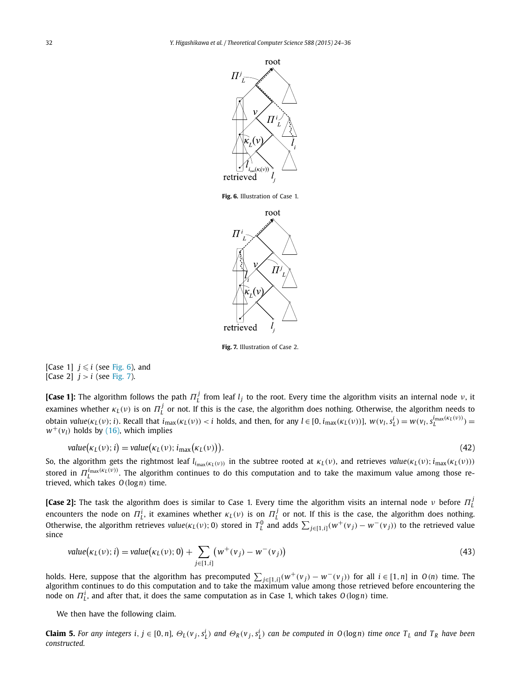<span id="page-8-0"></span>

**Fig. 6.** Illustration of Case 1.



**Fig. 7.** Illustration of Case 2.

[Case 1]  $j \leqslant i$  (see Fig. 6), and [Case 2]  $j > i$  (see Fig. 7).

**[Case 1]:** The algorithm follows the path  $\Pi^j_L$  from leaf  $l_j$  to the root. Every time the algorithm visits an internal node *ν*, it examines whether  $\kappa_L(\nu)$  is on  $\Pi_L^j$  or not. If this is the case, the algorithm does nothing. Otherwise, the algorithm needs to obtain value( $\kappa_L(\nu)$ ; i). Recall that  $i_{max}(\kappa_L(\nu)) < i$  holds, and then, for any  $l \in [0, i_{max}(\kappa_L(\nu))]$ ,  $w(\nu_l, s^i_L) = w(\nu_l, s^i_{L}^{i_{max}(\kappa_L(\nu))}) = w(\nu_l, s^i_{L}^{i_{max}(\kappa_L(\nu))})$  $w^+(v_l)$  holds by [\(16\),](#page-4-0) which implies

value
$$
(\kappa_L(v); i) = value(\kappa_L(v); i_{\text{max}}(\kappa_L(v))).
$$
 (42)

So, the algorithm gets the rightmost leaf  $l_{i_{max}(k_L(v))}$  in the subtree rooted at  $k_L(v)$ , and retrieves value( $k_L(v)$ ;  $i_{max}(k_L(v))$ ) stored in *Π<sup>i</sup>*max*(κ<sup>L</sup> (ν)) <sup>L</sup>* . The algorithm continues to do this computation and to take the maximum value among those retrieved, which takes *O(*log*n)* time.

**[Case 2]:** The task the algorithm does is similar to Case 1. Every time the algorithm visits an internal node *ν* before *Π <sup>j</sup> L* encounters the node on  $\Pi_L^i$ , it examines whether  $\kappa_L(\nu)$  is on  $\Pi_L^j$  or not. If this is the case, the algorithm does nothing. Otherwise, the algorithm retrieves value( $\kappa_L(v)$ ; 0) stored in  $T_L^0$  and adds  $\sum_{j\in[1,i]}(w^+(v_j)-w^-(v_j))$  to the retrieved value since

value
$$
(\kappa_L(\nu); i) = value(\kappa_L(\nu); 0) + \sum_{j \in [1, i]} (w^+(\nu_j) - w^-(\nu_j))
$$
 (43)

holds. Here, suppose that the algorithm has precomputed  $\sum_{j\in[1,i]}(w^+(v_j)-w^-(v_j))$  for all  $i\in[1,n]$  in  $O(n)$  time. The algorithm continues to do this computation and to take the maximum value among those retrieved before node on *Π<sup>i</sup> <sup>L</sup>* , and after that, it does the same computation as in Case 1, which takes *O(*log*n)* time.

We then have the following claim.

**Claim 5.** For any integers i,  $j \in [0,n]$ ,  $\Theta_L(v_j,s_L^i)$  and  $\Theta_R(v_j,s_L^i)$  can be computed in  $O(logn)$  time once  $T_L$  and  $T_R$  have been *constructed.*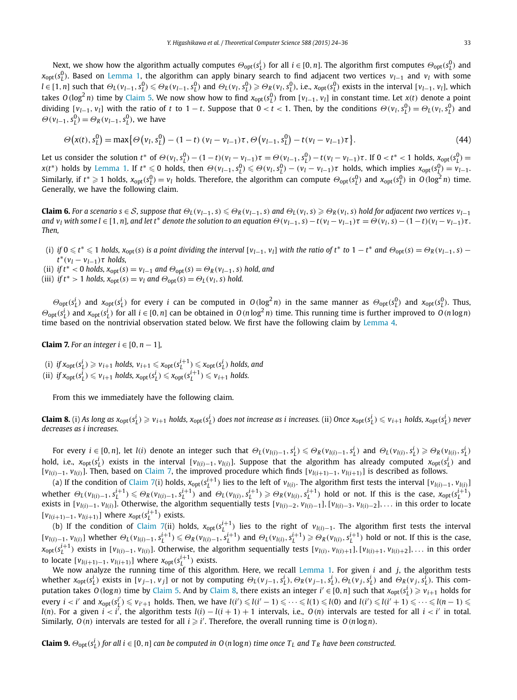<span id="page-9-0"></span>Next, we show how the algorithm actually computes  $\Theta_{\text{opt}}(s^i_L)$  for all  $i \in [0,n].$  The algorithm first computes  $\Theta_{\text{opt}}(s^0_L)$  and *x*<sub>opt</sub>( $s_L^0$ ). Based on [Lemma 1,](#page-3-0) the algorithm can apply binary search to find adjacent two vertices *v*<sub>l−1</sub> and *v<sub>l</sub>* with some  $l \in [1, n]$  such that  $\Theta_L(v_{l-1}, s_l^0) \leq \Theta_R(v_{l-1}, s_l^0)$  and  $\Theta_L(v_l, s_l^0) \geq \Theta_R(v_l, s_l^0)$ , i.e.,  $x_{opt}(s_l^0)$  exists in the interval  $[v_{l-1}, v_l]$ , which takes  $O(\log^2 n)$  time by [Claim 5.](#page-8-0) We now show how to find  $x_{opt}(s_L^0)$  from  $[v_{l-1}, v_l]$  in constant time. Let  $x(t)$  denote a point dividing  $[v_{l-1}, v_l]$  with the ratio of t to  $1-t$ . Suppose that  $0 < t < 1$ . Then, by the conditions  $\Theta(v_l, s_l^0) = \Theta_L(v_l, s_l^0)$  and  $\Theta(\nu_{l-1}, s^0_L) = \Theta_R(\nu_{l-1}, s^0_L)$ , we have

$$
\Theta(x(t), s_L^0) = \max \{ \Theta(v_l, s_L^0) - (1 - t) (v_l - v_{l-1}) \tau, \Theta(v_{l-1}, s_L^0) - t(v_l - v_{l-1}) \tau \}.
$$
\n(44)

Let us consider the solution  $t^*$  of  $\Theta(v_l, s_l^0) - (1-t)(v_l - v_{l-1})\tau = \Theta(v_{l-1}, s_l^0) - t(v_l - v_{l-1})\tau$ . If  $0 < t^* < 1$  holds,  $x_{opt}(s_l^0) =$  $x(t^*)$  holds by [Lemma 1.](#page-3-0) If  $t^* \leq 0$  holds, then  $\Theta(v_{l-1}, s^0_{L}) \leq \Theta(v_l, s^0_{L}) - (v_l - v_{l-1})\tau$  holds, which implies  $x_{opt}(s^0_{L}) = v_{l-1}$ . Similarly, if  $t^* \geq 1$  holds,  $x_{opt}(s_L^0) = v_l$  holds. Therefore, the algorithm can compute  $\Theta_{opt}(s_L^0)$  and  $x_{opt}(s_L^0)$  in  $O(\log^2 n)$  time. Generally, we have the following claim.

**Claim 6.** For a scenario  $s \in S$ , suppose that  $\Theta_L(v_{l-1}, s) \leq \Theta_R(v_{l-1}, s)$  and  $\Theta_L(v_l, s) \geq \Theta_R(v_l, s)$  hold for adjacent two vertices  $v_{l-1}$ and  $v_l$  with some  $l \in [1, n]$ , and let t\* denote the solution to an equation  $\Theta(v_{l-1}, s) - t(v_l - v_{l-1})\tau = \Theta(v_l, s) - (1 - t)(v_l - v_{l-1})\tau$ . *Then,*

- (i) if  $0 \le t^* \le 1$  holds,  $x_{opt}(s)$  is a point dividing the interval  $[v_{l-1}, v_l]$  with the ratio of  $t^*$  to  $1-t^*$  and  $\Theta_{opt}(s) = \Theta_R(v_{l-1}, s)$  $t^*(v_l - v_{l-1})\tau$  *holds,*
- (ii) *if*  $t^*$  < 0 *holds,*  $x_{\text{out}}(s) = v_{l-1}$  *and*  $\Theta_{\text{out}}(s) = \Theta_R(v_{l-1}, s)$  *hold, and*
- (iii) *if*  $t^* > 1$  *holds,*  $x_{opt}(s) = v_l$  *and*  $\Theta_{opt}(s) = \Theta_L(v_l, s)$  *hold.*

 $\Theta_{\text{opt}}(s_L^i)$  and  $x_{\text{opt}}(s_L^i)$  for every *i* can be computed in  $O(\log^2 n)$  in the same manner as  $\Theta_{\text{opt}}(s_L^0)$  and  $x_{\text{opt}}(s_L^0)$ . Thus,  $\Theta_{\text{opt}}(s_L^i)$  and  $x_{\text{opt}}(s_L^i)$  for all  $i \in [0, n]$  can be obtained in  $O(n \log^2 n)$  time. This running time is further improved to  $O(n \log n)$ time based on the nontrivial observation stated below. We first have the following claim by [Lemma 4.](#page-5-0)

**Claim 7.** For an integer  $i \in [0, n-1]$ ,

(i) if  $x_{\text{opt}}(s_L^i) \geqslant v_{i+1}$  holds,  $v_{i+1} \leqslant x_{\text{opt}}(s_L^{i+1}) \leqslant x_{\text{opt}}(s_L^i)$  holds, and (ii) if  $x_{\text{opt}}(s_L^i) \leq v_{i+1}$  holds,  $x_{\text{opt}}(s_L^i) \leq x_{\text{opt}}(s_L^{i+1}) \leq v_{i+1}$  holds.

From this we immediately have the following claim.

**Claim 8.** (i) As long as  $x_{\rm opt}(s^i_L)\geqslant v_{i+1}$  holds,  $x_{\rm opt}(s^i_L)$  does not increase as i increases. (ii) Once  $x_{\rm opt}(s^i_L)\leqslant v_{i+1}$  holds,  $x_{\rm opt}(s^i_L)$  never *decreases as i increases.*

For every  $i \in [0,n]$ , let  $l(i)$  denote an integer such that  $\Theta_L(v_{l(i)-1}, s_L^i) \leq \Theta_R(v_{l(i)-1}, s_L^i)$  and  $\Theta_L(v_{l(i)}, s_L^i) \geq \Theta_R(v_{l(i)}, s_L^i)$ hold, i.e.,  $x_{\text{opt}}(s_L^i)$  exists in the interval  $[v_{l(i)-1},v_{l(i)}]$ . Suppose that the algorithm has already computed  $x_{\text{opt}}(s_L^i)$  and  $[v_{l(i)-1}, v_{l(i)}]$ . Then, based on Claim 7, the improved procedure which finds  $[v_{l(i+1)-1}, v_{l(i+1)}]$  is described as follows.

(a) If the condition of Claim 7(i) holds,  $x_{opt}(s_L^{i+1})$  lies to the left of  $v_{l(i)}$ . The algorithm first tests the interval  $[v_{l(i)-1}, v_{l(i)}]$ whether  $\Theta_L(v_{l(i)-1}, s_l^{i+1}) \leq \Theta_R(v_{l(i)-1}, s_l^{i+1})$  and  $\Theta_L(v_{l(i)}, s_l^{i+1}) \geq \Theta_R(v_{l(i)}, s_l^{i+1})$  hold or not. If this is the case,  $x_{opt}(s_l^{i+1})$ exists in  $[v_{l(i)-1}, v_{l(i)}]$ . Otherwise, the algorithm sequentially tests  $[v_{l(i)-2}, v_{l(i)-1}]$ ,  $[v_{l(i)-3}, v_{l(i)-2}]$ , ... in this order to locate  $[v_{l(i+1)-1}, v_{l(i+1)}]$  where  $x_{opt}(s_l^{i+1})$  exists.

(b) If the condition of Claim 7(ii) holds,  $x_{opt}(s_L^{i+1})$  lies to the right of  $v_{l(i)-1}$ . The algorithm first tests the interval  $[v_{l(i)-1}, v_{l(i)}]$  whether  $\Theta_L(v_{l(i)-1}, s_L^{i+1}) \leq \Theta_R(v_{l(i)-1}, s_L^{i+1})$  and  $\Theta_L(v_{l(i)}, s_L^{i+1}) \geq \Theta_R(v_{l(i)}, s_L^{i+1})$  hold or not. If this is the case,  $x_{\text{opt}}(s_L^{i+1})$  exists in  $[v_{l(i)-1}, v_{l(i)}]$ . Otherwise, the algorithm sequentially tests  $[v_{l(i)}, v_{l(i)+1}]$ ,  $[v_{l(i)+1}, v_{l(i)+2}]$ , ... in this order to locate  $[v_{l(i+1)-1}, v_{l(i+1)}]$  where  $x_{\text{opt}}(s_L^{i+1})$  exists.

We now analyze the running time of this algorithm. Here, we recall [Lemma](#page-3-0) 1. For given *i* and *j*, the algorithm tests whether  $x_{\text{opt}}(s_L^i)$  exists in  $[v_{j-1}, v_j]$  or not by computing  $\Theta_L(v_{j-1}, s_L^i)$ ,  $\Theta_R(v_{j-1}, s_L^i)$ ,  $\Theta_L(v_j, s_L^i)$  and  $\Theta_R(v_j, s_L^i)$ . This computation takes  $O(\log n)$  time by [Claim 5.](#page-8-0) And by Claim 8, there exists an integer  $i' \in [0,n]$  such that  $x_{\text{opt}}(s_L^i) \geqslant v_{i+1}$  holds for every  $i < i'$  and  $x_{\text{opt}}(s_{\underline{l}}^{i'}) \leq v_{i'+1}$  holds. Then, we have  $l(i') \leq l(i'-1) \leq \cdots \leq l(1) \leq l(0)$  and  $l(i') \leq l(i'+1) \leq \cdots \leq l(n-1) \leq$  $l(n)$ . For a given  $i < i'$ , the algorithm tests  $l(i) - l(i+1) + 1$  intervals, i.e.,  $O(n)$  intervals are tested for all  $i < i'$  in total. Similarly,  $O(n)$  intervals are tested for all  $i \geq i'$ . Therefore, the overall running time is  $O(n \log n)$ .

**Claim 9.**  $\Theta_{\text{opt}}(s^i_L)$  for all  $i \in [0,n]$  can be computed in 0 (n logn) time once  $T_L$  and  $T_R$  have been constructed.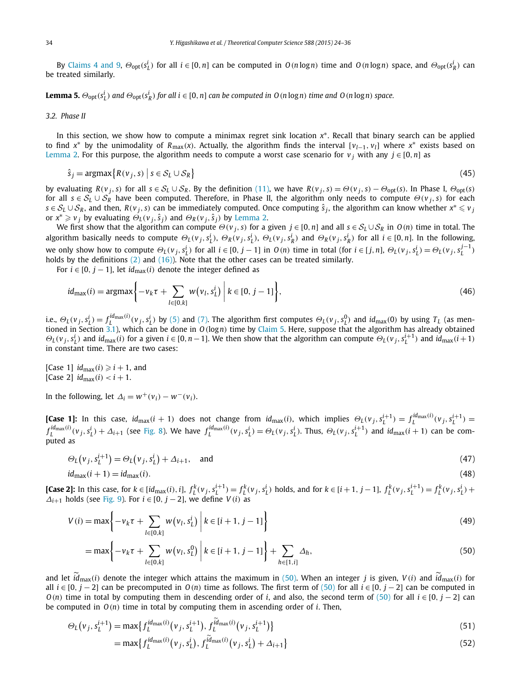<span id="page-10-0"></span>By [Claims 4 and 9,](#page-7-0)  $\Theta_{opt}(s_L^i)$  for all  $i \in [0,n]$  can be computed in  $O(n \log n)$  time and  $O(n \log n)$  space, and  $\Theta_{opt}(s_R^i)$  can be treated similarly.

**Lemma 5.**  $\Theta_{\text{opt}}(s_L^i)$  and  $\Theta_{\text{opt}}(s_R^i)$  for all  $i \in [0, n]$  can be computed in  $O(n \log n)$  time and  $O(n \log n)$  space.

#### *3.2. Phase II*

In this section, we show how to compute a minimax regret sink location *x*∗. Recall that binary search can be applied to find  $x^*$  by the unimodality of  $R_{\text{max}}(x)$ . Actually, the algorithm finds the interval  $[v_{l-1}, v_l]$  where  $x^*$  exists based on [Lemma 2.](#page-3-0) For this purpose, the algorithm needs to compute a worst case scenario for  $v_j$  with any  $j \in [0, n]$  as

$$
\hat{s}_j = \operatorname{argmax} \{ R(v_j, s) \mid s \in S_L \cup S_R \} \tag{45}
$$

by evaluating  $R(v_i, s)$  for all  $s \in S_L \cup S_R$ . By the definition [\(11\),](#page-3-0) we have  $R(v_i, s) = \Theta(v_i, s) - \Theta_{opt}(s)$ . In Phase I,  $\Theta_{opt}(s)$ for all *<sup>s</sup>* ∈ S*<sup>L</sup>* ∪ S*<sup>R</sup>* have been computed. Therefore, in Phase II, the algorithm only needs to compute *Θ(<sup>v</sup> <sup>j</sup>, <sup>s</sup>)* for each  $s \in S_L \cup S_R$ , and then,  $R(v_j, s)$  can be immediately computed. Once computing  $\hat{s}_j$ , the algorithm can know whether  $x^* \leq v_j$ or  $x^* \geq v_j$  by evaluating  $\Theta_L(v_j, \hat{s}_j)$  and  $\Theta_R(v_j, \hat{s}_j)$  by [Lemma 2.](#page-3-0)

We first show that the algorithm can compute  $\Theta(v_i, s)$  for a given  $j \in [0, n]$  and all  $s \in S_l \cup S_R$  in  $O(n)$  time in total. The algorithm basically needs to compute  $\Theta_L(v_j,s_L^i), \Theta_R(v_j,s_L^i), \Theta_L(v_j,s_R^i)$  and  $\Theta_R(v_j,s_R^i)$  for all  $i \in [0,n]$ . In the following, we only show how to compute  $\Theta_L(v_j, s_L^i)$  for all  $i \in [0, j-1]$  in  $O(n)$  time in total (for  $i \in [j, n]$ ,  $\Theta_L(v_j, s_L^i) = \Theta_L(v_j, s_L^{j-1})$ holds by the definitions  $(2)$  and  $(16)$ ). Note that the other cases can be treated similarly.

For  $i \in [0, j - 1]$ , let  $id_{max}(i)$  denote the integer defined as

$$
id_{\max}(i) = \operatorname{argmax} \left\{ -v_k \tau + \sum_{l \in [0,k]} w(v_l, s_l^i) \middle| k \in [0, j-1] \right\},\tag{46}
$$

i.e.,  $\Theta_L(v_j, s^i_L) = f_L^{id_{\text{max}}(i)}(v_j, s^i_L)$  by [\(5\)](#page-2-0) and [\(7\).](#page-2-0) The algorithm first computes  $\Theta_L(v_j, s^0_L)$  and  $id_{\text{max}}(0)$  by using  $T_L$  (as mentioned in Section [3.1\)](#page-6-0), which can be done in *O(*log*n)* time by [Claim 5.](#page-8-0) Here, suppose that the algorithm has already obtained  $\Theta_L(v_j, s_L^i)$  and  $id_{\max}(i)$  for a given  $i \in [0, n-1]$ . We then show that the algorithm can compute  $\Theta_L(v_j, s_L^{i+1})$  and  $id_{\max}(i+1)$ in constant time. There are two cases:

[Case 1]  $id_{max}(i) \geq i + 1$ , and  $[Case 2]$   $id_{max}(i) < i + 1$ .

In the following, let  $\Delta_i = w^+(v_i) - w^-(v_i)$ .

**[Case 1]:** In this case,  $id_{max}(i + 1)$  does not change from  $id_{max}(i)$ , which implies  $\Theta_L(v_j, s_L^{i+1}) = f_L^{id_{max}(i)}(v_j, s_L^{i+1}) =$  $f_L^{id_{\text{max}}(i)}(v_j, s_L^i) + \Delta_{i+1}$  (see [Fig. 8\)](#page-11-0). We have  $f_L^{id_{\text{max}}(i)}(v_j, s_L^i) = \Theta_L(v_j, s_L^i)$ . Thus,  $\Theta_L(v_j, s_L^{i+1})$  and  $id_{\text{max}}(i+1)$  can be computed as

$$
\Theta_L(v_j, s_L^{i+1}) = \Theta_L(v_j, s_L^i) + \Delta_{i+1}, \quad \text{and} \tag{47}
$$

$$
id_{\max}(i+1) = id_{\max}(i). \tag{48}
$$

**[Case 2]:** In this case, for  $k \in [id_{max}(i), i]$ ,  $f_L^k(v_j, s_L^{i+1}) = f_L^k(v_j, s_L^i)$  holds, and for  $k \in [i+1, j-1]$ ,  $f_L^k(v_j, s_L^{i+1}) = f_L^k(v_j, s_L^i)$  +  $\Delta$ *i*+1 holds (see [Fig. 9\)](#page-11-0). For  $i \in [0, j - 2]$ , we define  $V(i)$  as

$$
V(i) = \max\left\{-v_k \tau + \sum_{l \in [0,k]} w(v_l, s_L^i) \middle| k \in [i+1, j-1] \right\}
$$
 (49)

$$
= \max\bigg\{-\nu_k \tau + \sum_{l \in [0,k]} w(\nu_l, s_l^0) \bigg\vert k \in [i+1, j-1]\bigg\} + \sum_{h \in [1,i]} \Delta_h,
$$
\n(50)

and let  $\hat{i}d_{\text{max}}(i)$  denote the integer which attains the maximum in (50). When an integer *j* is given, *V*(*i*) and  $\hat{i}d_{\text{max}}(i)$  for all  $i \in [0, j - 2]$  can be precomputed in  $O(n)$  time as follows. The first term of (50) for all  $i \in [0, j - 2]$  can be computed in *O*(*n*) time in total by computing them in descending order of *i*, and also, the second term of (50) for all  $i \in [0, j - 2]$  can be computed in  $O(n)$  time in total by computing them in ascending order of *i*. Then,

$$
\Theta_L(\nu_j, s_L^{i+1}) = \max\{f_L^{id_{\max}(i)}(\nu_j, s_L^{i+1}), f_L^{\tilde{id}_{\max}(i)}(\nu_j, s_L^{i+1})\}
$$
(51)

$$
= \max\{f_L^{id_{\max}(i)}(v_j, s_L^i), f_L^{id_{\max}(i)}(v_j, s_L^i) + \Delta_{i+1}\}\tag{52}
$$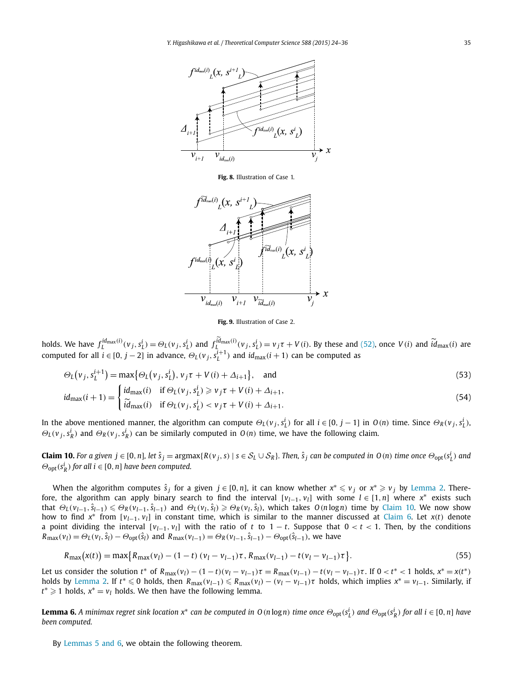<span id="page-11-0"></span>

**Fig. 8.** Illustration of Case 1.



**Fig. 9.** Illustration of Case 2.

holds. We have  $f_L^{id_{\text{max}}(i)}(v_j, s_L^i) = \Theta_L(v_j, s_L^i)$  and  $f_L^{id_{\text{max}}(i)}(v_j, s_L^i) = v_j \tau + V(i)$ . By these and [\(52\),](#page-10-0) once  $V(i)$  and  $\tilde{id}_{\text{max}}(i)$  are computed for all  $i \in [0, j - 2]$  in advance,  $\Theta_L(v_j, s_L^{i+1})$  and  $id_{\max}(i + 1)$  can be computed as

$$
\Theta_L(v_j, s_L^{i+1}) = \max\{\Theta_L(v_j, s_L^i), v_j \tau + V(i) + \Delta_{i+1}\}, \text{ and}
$$
\n(53)

$$
id_{\max}(i+1) = \begin{cases} id_{\max}(i) & \text{if } \Theta_L(v_j, s_L^i) \ge v_j \tau + V(i) + \Delta_{i+1}, \\ \tilde{id}_{\max}(i) & \text{if } \Theta_L(v_j, s_L^i) < v_j \tau + V(i) + \Delta_{i+1}. \end{cases} \tag{54}
$$

In the above mentioned manner, the algorithm can compute  $\Theta_L(v_j,s_L^i)$  for all  $i \in [0,j-1]$  in  $O(n)$  time. Since  $\Theta_R(v_j,s_L^i)$ ,  $\Theta_L(v_j, s_R^i)$  and  $\Theta_R(v_j, s_R^i)$  can be similarly computed in  $O(n)$  time, we have the following claim.

**Claim 10.** For a given  $j \in [0, n]$ , let  $\hat{s}_j = \argmax\{R(v_j, s) \mid s \in S_L \cup S_R\}$ . Then,  $\hat{s}_j$  can be computed in  $O(n)$  time once  $\Theta_{\text{opt}}(s_L^i)$  and  $\Theta_{\text{opt}}(s_R^i)$  *for all i* ∈ [0, *n*] *have been computed.* 

When the algorithm computes  $\hat{s}_j$  for a given  $j \in [0,n]$ , it can know whether  $x^* \leq v_j$  or  $x^* \geq v_j$  by [Lemma 2.](#page-3-0) Therefore, the algorithm can apply binary search to find the interval  $[v_{l-1}, v_l]$  with some  $l \in [1, n]$  where  $x^*$  exists such that  $\Theta_L(v_{l-1}, \hat{s}_{l-1}) \leq \Theta_R(v_{l-1}, \hat{s}_{l-1})$  and  $\Theta_L(v_l, \hat{s}_l) \geq \Theta_R(v_l, \hat{s}_l)$ , which takes  $O(n \log n)$  time by Claim 10. We now show how to find  $x^*$  from  $[v_{l-1}, v_l]$  in constant time, which is similar to the manner discussed at [Claim 6.](#page-9-0) Let  $x(t)$  denote a point dividing the interval [*vl*−1*, vl*] with the ratio of *t* to 1 − *t*. Suppose that 0 *< t <* 1. Then, by the conditions  $R_{\text{max}}(v_l) = \Theta_L(v_l, \hat{s}_l) - \Theta_{\text{opt}}(\hat{s}_l)$  and  $R_{\text{max}}(v_{l-1}) = \Theta_R(v_{l-1}, \hat{s}_{l-1}) - \Theta_{\text{opt}}(\hat{s}_{l-1})$ , we have

$$
R_{\max}(\mathbf{x}(t)) = \max\{R_{\max}(\nu_l) - (1-t)(\nu_l - \nu_{l-1})\tau, R_{\max}(\nu_{l-1}) - t(\nu_l - \nu_{l-1})\tau\}.
$$
\n(55)

Let us consider the solution  $t^*$  of  $R_{\text{max}}(v_l) - (1-t)(v_l - v_{l-1})\tau = R_{\text{max}}(v_{l-1}) - t(v_l - v_{l-1})\tau$ . If  $0 < t^* < 1$  holds,  $x^* = x(t^*)$ holds by [Lemma 2.](#page-3-0) If  $t^* \le 0$  holds, then  $R_{\max}(v_{l-1}) \le R_{\max}(v_l) - (v_l - v_{l-1})\tau$  holds, which implies  $x^* = v_{l-1}$ . Similarly, if *t*<sup>∗</sup>  $\geq$  1 holds, *x*<sup>∗</sup> = *v*<sub>*l*</sub> holds. We then have the following lemma.

**Lemma 6.** A minimax regret sink location  $x^*$  can be computed in O(nlogn) time once  $\Theta_{\text{opt}}(s_L^i)$  and  $\Theta_{\text{opt}}(s_R^i)$  for all  $i \in [0,n]$  have *been computed.*

By [Lemmas](#page-10-0) 5 and 6, we obtain the following theorem.